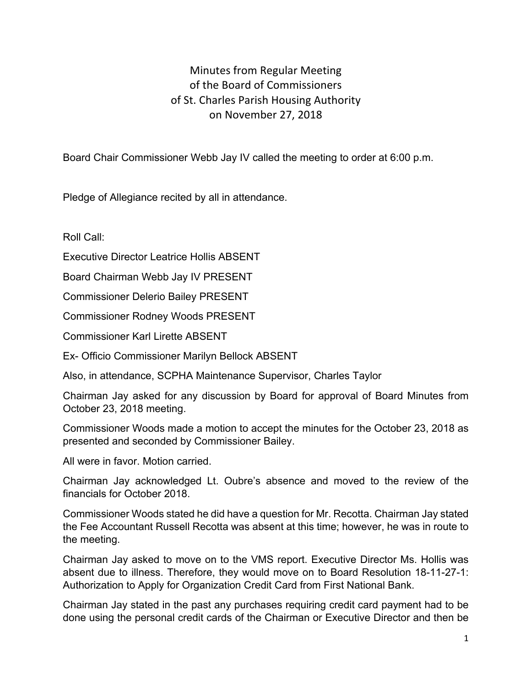## Minutes from Regular Meeting of the Board of Commissioners of St. Charles Parish Housing Authority on November 27, 2018

Board Chair Commissioner Webb Jay IV called the meeting to order at 6:00 p.m.

Pledge of Allegiance recited by all in attendance.

Roll Call:

Executive Director Leatrice Hollis ABSENT

Board Chairman Webb Jay IV PRESENT

Commissioner Delerio Bailey PRESENT

Commissioner Rodney Woods PRESENT

Commissioner Karl Lirette ABSENT

Ex- Officio Commissioner Marilyn Bellock ABSENT

Also, in attendance, SCPHA Maintenance Supervisor, Charles Taylor

Chairman Jay asked for any discussion by Board for approval of Board Minutes from October 23, 2018 meeting.

Commissioner Woods made a motion to accept the minutes for the October 23, 2018 as presented and seconded by Commissioner Bailey.

All were in favor. Motion carried.

Chairman Jay acknowledged Lt. Oubre's absence and moved to the review of the financials for October 2018.

Commissioner Woods stated he did have a question for Mr. Recotta. Chairman Jay stated the Fee Accountant Russell Recotta was absent at this time; however, he was in route to the meeting.

Chairman Jay asked to move on to the VMS report. Executive Director Ms. Hollis was absent due to illness. Therefore, they would move on to Board Resolution 18-11-27-1: Authorization to Apply for Organization Credit Card from First National Bank.

Chairman Jay stated in the past any purchases requiring credit card payment had to be done using the personal credit cards of the Chairman or Executive Director and then be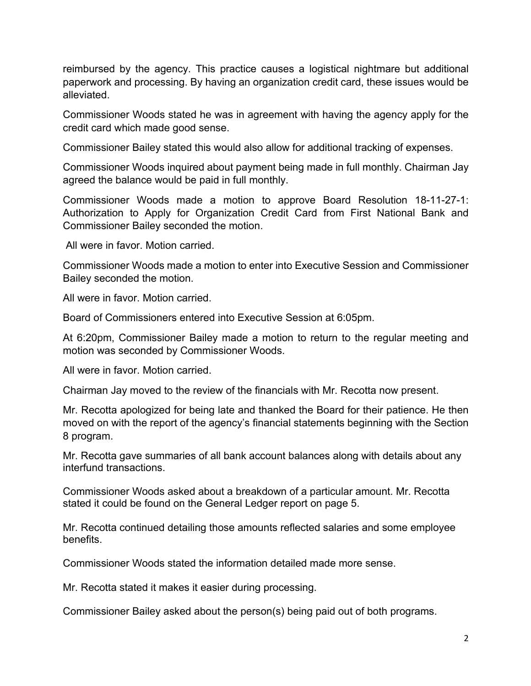reimbursed by the agency. This practice causes a logistical nightmare but additional paperwork and processing. By having an organization credit card, these issues would be alleviated.

Commissioner Woods stated he was in agreement with having the agency apply for the credit card which made good sense.

Commissioner Bailey stated this would also allow for additional tracking of expenses.

Commissioner Woods inquired about payment being made in full monthly. Chairman Jay agreed the balance would be paid in full monthly.

Commissioner Woods made a motion to approve Board Resolution 18-11-27-1: Authorization to Apply for Organization Credit Card from First National Bank and Commissioner Bailey seconded the motion.

All were in favor. Motion carried.

Commissioner Woods made a motion to enter into Executive Session and Commissioner Bailey seconded the motion.

All were in favor. Motion carried.

Board of Commissioners entered into Executive Session at 6:05pm.

At 6:20pm, Commissioner Bailey made a motion to return to the regular meeting and motion was seconded by Commissioner Woods.

All were in favor. Motion carried.

Chairman Jay moved to the review of the financials with Mr. Recotta now present.

Mr. Recotta apologized for being late and thanked the Board for their patience. He then moved on with the report of the agency's financial statements beginning with the Section 8 program.

Mr. Recotta gave summaries of all bank account balances along with details about any interfund transactions.

Commissioner Woods asked about a breakdown of a particular amount. Mr. Recotta stated it could be found on the General Ledger report on page 5.

Mr. Recotta continued detailing those amounts reflected salaries and some employee benefits.

Commissioner Woods stated the information detailed made more sense.

Mr. Recotta stated it makes it easier during processing.

Commissioner Bailey asked about the person(s) being paid out of both programs.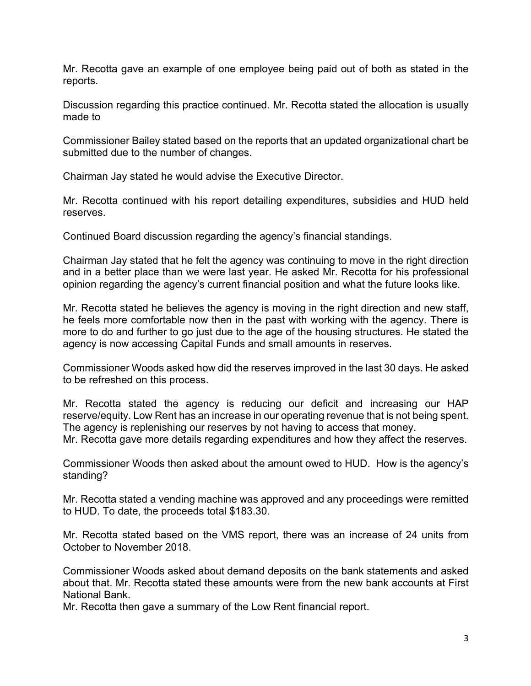Mr. Recotta gave an example of one employee being paid out of both as stated in the reports.

Discussion regarding this practice continued. Mr. Recotta stated the allocation is usually made to

Commissioner Bailey stated based on the reports that an updated organizational chart be submitted due to the number of changes.

Chairman Jay stated he would advise the Executive Director.

Mr. Recotta continued with his report detailing expenditures, subsidies and HUD held reserves.

Continued Board discussion regarding the agency's financial standings.

Chairman Jay stated that he felt the agency was continuing to move in the right direction and in a better place than we were last year. He asked Mr. Recotta for his professional opinion regarding the agency's current financial position and what the future looks like.

Mr. Recotta stated he believes the agency is moving in the right direction and new staff, he feels more comfortable now then in the past with working with the agency. There is more to do and further to go just due to the age of the housing structures. He stated the agency is now accessing Capital Funds and small amounts in reserves.

Commissioner Woods asked how did the reserves improved in the last 30 days. He asked to be refreshed on this process.

Mr. Recotta stated the agency is reducing our deficit and increasing our HAP reserve/equity. Low Rent has an increase in our operating revenue that is not being spent. The agency is replenishing our reserves by not having to access that money.

Mr. Recotta gave more details regarding expenditures and how they affect the reserves.

Commissioner Woods then asked about the amount owed to HUD. How is the agency's standing?

Mr. Recotta stated a vending machine was approved and any proceedings were remitted to HUD. To date, the proceeds total \$183.30.

Mr. Recotta stated based on the VMS report, there was an increase of 24 units from October to November 2018.

Commissioner Woods asked about demand deposits on the bank statements and asked about that. Mr. Recotta stated these amounts were from the new bank accounts at First National Bank.

Mr. Recotta then gave a summary of the Low Rent financial report.